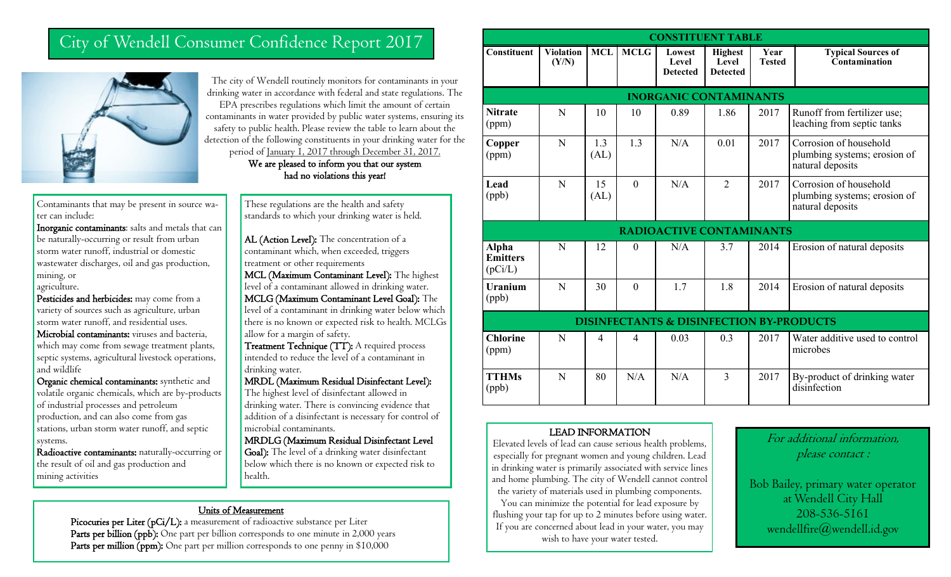## City of Wendell Consumer Confidence Report 2017



Contaminants that may be present in source water can include:

Inorganic contaminants: salts and metals that can be naturally-occurring or result from urban storm water runoff, industrial or domestic wastewater discharges, oil and gas production, mining, or agriculture.

Pesticides and herbicides: may come from a variety of sources such as agriculture, urban storm water runoff, and residential uses.

Microbial contaminants: viruses and bacteria, which may come from sewage treatment plants, septic systems, agricultural livestock operations, and wildlife

Organic chemical contaminants: synthetic and volatile organic chemicals, which are by-products of industrial processes and petroleum production, and can also come from gas stations, urban storm water runoff, and septic systems.

Radioactive contaminants: naturally-occurring or the result of oil and gas production and mining activities

The city of Wendell routinely monitors for contaminants in your drinking water in accordance with federal and state regulations. The EPA prescribes regulations which limit the amount of certain contaminants in water provided by public water systems, ensuring its safety to public health. Please review the table to learn about the detection of the following constituents in your drinking water for the period of January 1, 2017 through December 31, 2017.

We are pleased to inform you that our system had no violations this year!

These regulations are the health and safety standards to which your drinking water is held.

AL (Action Level): The concentration of a contaminant which, when exceeded, triggers treatment or other requirements

MCL (Maximum Contaminant Level): The highest level of a contaminant allowed in drinking water.

MCLG (Maximum Contaminant Level Goal): The level of a contaminant in drinking water below which there is no known or expected risk to health. MCLGs allow for a margin of safety.

Treatment Technique (TT): A required process intended to reduce the level of a contaminant in drinking water.

MRDL (Maximum Residual Disinfectant Level): The highest level of disinfectant allowed in

drinking water. There is convincing evidence that addition of a disinfectant is necessary for control of microbial contaminants.

MRDLG (Maximum Residual Disinfectant Level

Goal): The level of a drinking water disinfectant below which there is no known or expected risk to health.

#### Units of Measurement

Picocuries per Liter (pCi/L): a measurement of radioactive substance per Liter Parts per billion (ppb): One part per billion corresponds to one minute in 2,000 years Parts per million (ppm): One part per million corresponds to one penny in \$10,000

| <b>CONSTITUENT TABLE</b>                            |                           |                |              |                                    |                                            |                       |                                                                            |
|-----------------------------------------------------|---------------------------|----------------|--------------|------------------------------------|--------------------------------------------|-----------------------|----------------------------------------------------------------------------|
| <b>Constituent</b>                                  | <b>Violation</b><br>(Y/N) | <b>MCL</b>     | <b>MCLG</b>  | Lowest<br>Level<br><b>Detected</b> | <b>Highest</b><br>Level<br><b>Detected</b> | Year<br><b>Tested</b> | <b>Typical Sources of</b><br>Contamination                                 |
| <b>INORGANIC CONTAMINANTS</b>                       |                           |                |              |                                    |                                            |                       |                                                                            |
| <b>Nitrate</b><br>(ppm)                             | N                         | 10             | 10           | 0.89                               | 1.86                                       | 2017                  | Runoff from fertilizer use;<br>leaching from septic tanks                  |
| Copper<br>(ppm)                                     | N                         | 1.3<br>(AL)    | 1.3          | N/A                                | 0.01                                       | 2017                  | Corrosion of household<br>plumbing systems; erosion of<br>natural deposits |
| Lead<br>(ppb)                                       | N                         | 15<br>(AL)     | $\theta$     | N/A                                | $\overline{2}$                             | 2017                  | Corrosion of household<br>plumbing systems; erosion of<br>natural deposits |
| <b>RADIOACTIVE CONTAMINANTS</b>                     |                           |                |              |                                    |                                            |                       |                                                                            |
| Alpha<br><b>Emitters</b><br>(pCi/L)                 | N                         | 12             | $\mathbf{0}$ | N/A                                | 3.7                                        | 2014                  | Erosion of natural deposits                                                |
| <b>Uranium</b><br>(ppb)                             | N                         | 30             | $\mathbf{0}$ | 1.7                                | 1.8                                        | 2014                  | Erosion of natural deposits                                                |
| <b>DISINFECTANTS &amp; DISINFECTION BY-PRODUCTS</b> |                           |                |              |                                    |                                            |                       |                                                                            |
| <b>Chlorine</b><br>(ppm)                            | N                         | $\overline{4}$ | 4            | 0.03                               | 0.3                                        | 2017                  | Water additive used to control<br>microbes                                 |
| <b>TTHMs</b><br>(ppb)                               | N                         | 80             | N/A          | N/A                                | 3                                          | 2017                  | By-product of drinking water<br>disinfection                               |

#### LEAD INFORMATION

Elevated levels of lead can cause serious health problems, especially for pregnant women and young children. Lead in drinking water is primarily associated with service lines and home plumbing. The city of Wendell cannot control the variety of materials used in plumbing components. You can minimize the potential for lead exposure by flushing your tap for up to 2 minutes before using water. If you are concerned about lead in your water, you may wish to have your water tested.

For additional information, please contact :

Bob Bailey, primary water operator at Wendell City Hall 208-536-5161 wendellfire@wendell.id.gov